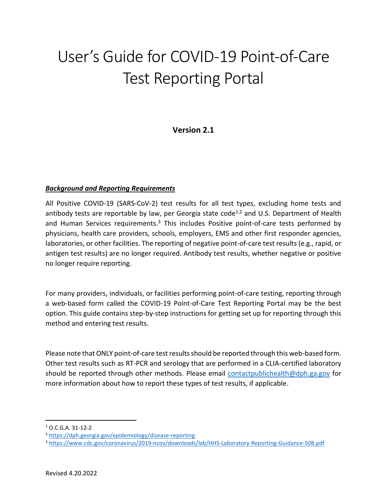# User's Guide for COVID-19 Point-of-Care Test Reporting Portal

#### **Version 2.1**

#### *Background and Reporting Requirements*

All Positive COVID-19 (SARS-CoV-2) test results for all test types, excluding home tests and antibody tests are reportable by law, per Georgia state code<sup>1,2</sup> and U.S. Department of Health and Human Services requirements.<sup>3</sup> This includes Positive point-of-care tests performed by physicians, health care providers, schools, employers, EMS and other first responder agencies, laboratories, or other facilities. The reporting of negative point-of-care test results (e.g., rapid, or antigen test results) are no longer required. Antibody test results, whether negative or positive no longer require reporting.

For many providers, individuals, or facilities performing point-of-care testing, reporting through a web-based form called the COVID-19 Point-of-Care Test Reporting Portal may be the best option. This guide contains step-by-step instructions for getting set up for reporting through this method and entering test results.

Please note that ONLY point-of-care test results should be reported through this web-based form. Other test results such as RT-PCR and serology that are performed in a CLIA-certified laboratory should be reported through other methods. Please email [contactpublichealth@dph.ga.gov](mailto:contactpublichealth@dph.ga.gov) for more information about how to report these types of test results, if applicable.

 $1$  O.C.G.A. 31-12-2

<sup>2</sup> <https://dph.georgia.gov/epidemiology/disease-reporting>

<sup>3</sup> <https://www.cdc.gov/coronavirus/2019-ncov/downloads/lab/HHS-Laboratory-Reporting-Guidance-508.pdf>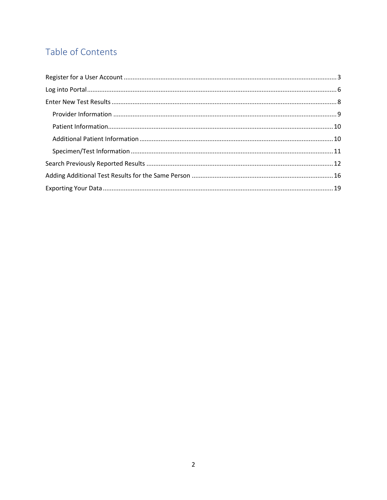# Table of Contents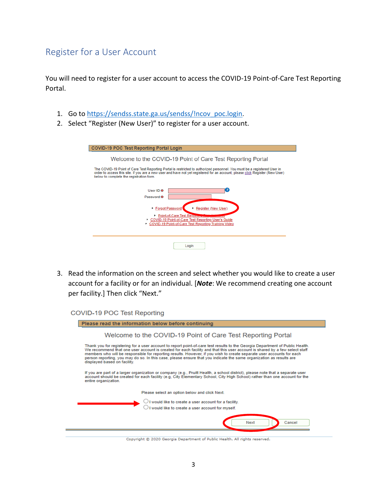# <span id="page-2-0"></span>Register for a User Account

You will need to register for a user account to access the COVID-19 Point-of-Care Test Reporting Portal.

- 1. Go t[o https://sendss.state.ga.us/sendss/!ncov\\_poc.login](https://sendss.state.ga.us/sendss/!ncov_poc.login).
- 2. Select "Register (New User)" to register for a user account.

| COVID-19 POC Test Reporting Portal Login                                                                                                                                                                                                                                                              |  |  |  |  |
|-------------------------------------------------------------------------------------------------------------------------------------------------------------------------------------------------------------------------------------------------------------------------------------------------------|--|--|--|--|
| Welcome to the COVID-19 Point of Care Test Reporting Portal                                                                                                                                                                                                                                           |  |  |  |  |
| The COVID-19 Point of Care Test Reporting Portal is restricted to authorized personnel. You must be a registered User in<br>order to access this site. If you are a new user and have not yet registered for an account, please click Register (New User)<br>below to complete the registration form. |  |  |  |  |
| 2<br>User $ID: \bullet$<br>Password: O                                                                                                                                                                                                                                                                |  |  |  |  |
| ▶ Forgot Password<br>Register (New User)<br>Point-of-Care Test Reporting<br>COVID-19 Point-of-Care Test Reporting User's Guide<br>COVID-19 Point-of-Care Test Reporting Training Video                                                                                                                |  |  |  |  |
| Login                                                                                                                                                                                                                                                                                                 |  |  |  |  |

3. Read the information on the screen and select whether you would like to create a user account for a facility or for an individual. [*Note*: We recommend creating one account per facility.] Then click "Next."

COVID-19 POC Test Reporting



Copyright @ 2020 Georgia Department of Public Health, All rights reserved.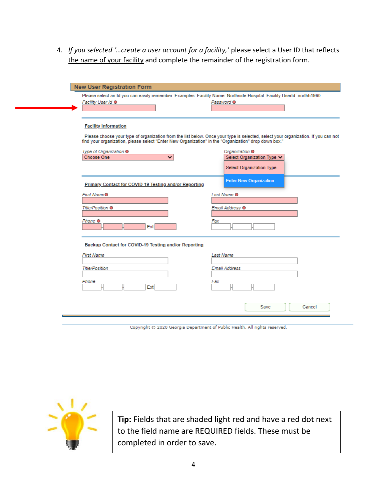4. *If you selected '…create a user account for a facility,'* please select a User ID that reflects the name of your facility and complete the remainder of the registration form.

| <b>New User Registration Form</b>                                                                                                                                                |                                                                                                                                                                                              |  |  |
|----------------------------------------------------------------------------------------------------------------------------------------------------------------------------------|----------------------------------------------------------------------------------------------------------------------------------------------------------------------------------------------|--|--|
| Please select an Id you can easily remember. Examples: Facility Name: Northside Hospital. Facility UserId: northh1960<br>Facility User Id @                                      | Password <sup>O</sup>                                                                                                                                                                        |  |  |
| <b>Facility Information</b><br>find your organization, please select "Enter New Organization" in the "Organization" drop down box."<br>Type of Organization ●<br>Choose One<br>× | Please choose your type of organization from the list below. Once your type is selected, select your organization. If you can not<br>Organization <sup>O</sup><br>Select Organization Type ↓ |  |  |
| <b>Primary Contact for COVID-19 Testing and/or Reporting</b><br>First Name <sup>®</sup>                                                                                          | <b>Select Organization Type</b><br><b>Enter New Organization</b><br>Last Name <sup>O</sup>                                                                                                   |  |  |
| Title/Position <sup>O</sup><br>Phone O<br>Ext                                                                                                                                    | Email Address <sup>O</sup><br>Fax                                                                                                                                                            |  |  |
| Backup Contact for COVID-19 Testing and/or Reporting                                                                                                                             |                                                                                                                                                                                              |  |  |
| <b>First Name</b><br><b>Title/Position</b><br>Phone<br>Ext                                                                                                                       | Last Name<br><b>Email Address</b><br>Fax                                                                                                                                                     |  |  |
|                                                                                                                                                                                  | Save<br>Cancel                                                                                                                                                                               |  |  |
|                                                                                                                                                                                  |                                                                                                                                                                                              |  |  |

Copyright @ 2020 Georgia Department of Public Health. All rights reserved.



**Tip:** Fields that are shaded light red and have a red dot next to the field name are REQUIRED fields. These must be completed in order to save.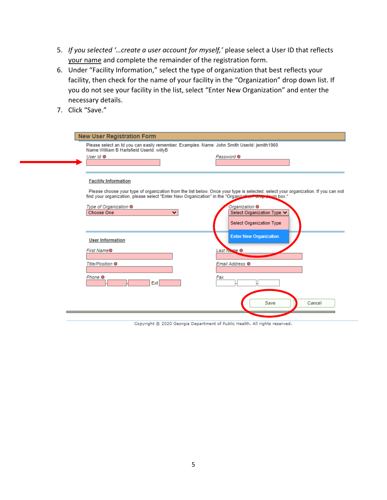- 5. *If you selected '…create a user account for myself,'* please select a User ID that reflects your name and complete the remainder of the registration form.
- 6. Under "Facility Information," select the type of organization that best reflects your facility, then check for the name of your facility in the "Organization" drop down list. If you do not see your facility in the list, select "Enter New Organization" and enter the necessary details.
- 7. Click "Save."

| Please select an Id you can easily remember. Examples: Name: John Smith UserId: jsmith1960<br>Name: William B Hartsfield UserId: willyB |                                                                                                                                                                                                                                            |  |  |
|-----------------------------------------------------------------------------------------------------------------------------------------|--------------------------------------------------------------------------------------------------------------------------------------------------------------------------------------------------------------------------------------------|--|--|
| User $Id$ $\bullet$                                                                                                                     | Password <sup>O</sup>                                                                                                                                                                                                                      |  |  |
| <b>Facility Information</b>                                                                                                             | Please choose your type of organization from the list below. Once your type is selected, select your organization. If you can not<br>find your organization, please select "Enter New Organization" in the "Organization" drop deven box." |  |  |
| Type of Organization ●<br>Choose One                                                                                                    | Organization <sup>O</sup><br>Select Organization Type V<br>$\checkmark$<br><b>Select Organization Type</b>                                                                                                                                 |  |  |
| <b>User Information</b>                                                                                                                 | <b>Enter New Organization</b>                                                                                                                                                                                                              |  |  |
| First Name <sup>®</sup>                                                                                                                 | Last No. me O                                                                                                                                                                                                                              |  |  |
| Title/Position <sup>O</sup>                                                                                                             | Email Address <sup>O</sup>                                                                                                                                                                                                                 |  |  |
| Phone <sup>O</sup><br>Ext                                                                                                               | Fax                                                                                                                                                                                                                                        |  |  |
|                                                                                                                                         | Save<br>Cancel                                                                                                                                                                                                                             |  |  |

Copyright © 2020 Georgia Department of Public Health. All rights reserved.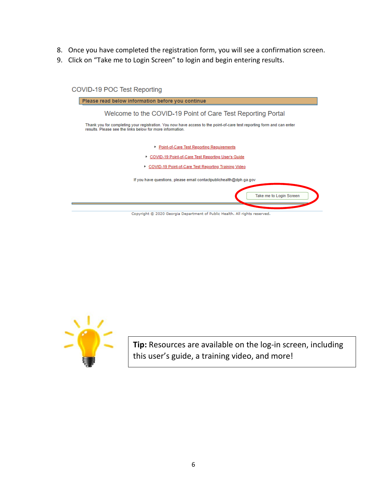- 8. Once you have completed the registration form, you will see a confirmation screen.
- 9. Click on "Take me to Login Screen" to login and begin entering results.

<span id="page-5-0"></span>

| COVID-19 POC Test Reporting                                                                                                                                                                                                                        |  |  |  |
|----------------------------------------------------------------------------------------------------------------------------------------------------------------------------------------------------------------------------------------------------|--|--|--|
| Please read below information before you continue                                                                                                                                                                                                  |  |  |  |
| Welcome to the COVID-19 Point of Care Test Reporting Portal<br>Thank you for completing your registration. You now have access to the point-of-care test reporting form and can enter<br>results. Please see the links below for more information. |  |  |  |
| • Point-of-Care Test Reporting Requirements<br>COVID-19 Point-of-Care Test Reporting User's Guide<br>Þ<br>COVID-19 Point-of-Care Test Reporting Training Video                                                                                     |  |  |  |
| If you have questions, please email contactpublichealth@dph.ga.gov<br>Take me to Login Screen                                                                                                                                                      |  |  |  |
| Copyright @ 2020 Georgia Department of Public Health. All rights reserved.                                                                                                                                                                         |  |  |  |



**Tip:** Resources are available on the log-in screen, including this user's guide, a training video, and more!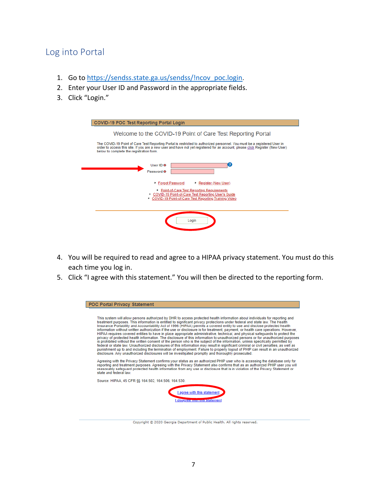# Log into Portal

- 1. Go t[o https://sendss.state.ga.us/sendss/!ncov\\_poc.login](https://sendss.state.ga.us/sendss/!ncov_poc.login).
- 2. Enter your User ID and Password in the appropriate fields.
- 3. Click "Login."

| <b>COVID-19 POC Test Reporting Portal Login</b>                                                                                                                                                                                                                                                       |  |
|-------------------------------------------------------------------------------------------------------------------------------------------------------------------------------------------------------------------------------------------------------------------------------------------------------|--|
| Welcome to the COVID-19 Point of Care Test Reporting Portal                                                                                                                                                                                                                                           |  |
| The COVID-19 Point of Care Test Reporting Portal is restricted to authorized personnel. You must be a registered User in<br>order to access this site. If you are a new user and have not yet registered for an account, please click Register (New User)<br>below to complete the registration form. |  |
| 2<br>User ID:0<br>Password: O                                                                                                                                                                                                                                                                         |  |
| ▶ Forgot Password<br>Register (New User)<br>• Point-of-Care Test Reporting Requirements<br>COVID-19 Point-of-Care Test Reporting User's Guide<br>COVID-19 Point-of-Care Test Reporting Training Video                                                                                                 |  |
| Login                                                                                                                                                                                                                                                                                                 |  |

- 4. You will be required to read and agree to a HIPAA privacy statement. You must do this each time you log in.
- 5. Click "I agree with this statement." You will then be directed to the reporting form.

| <b>POC Portal Privacy Statement</b>                                                                                                                                                                                                                                                                                                                                                                                                                                                                                                                                                                                                                                                                                                                                                                                                                                                                                                                                                                                                                                                                                                                                                    |
|----------------------------------------------------------------------------------------------------------------------------------------------------------------------------------------------------------------------------------------------------------------------------------------------------------------------------------------------------------------------------------------------------------------------------------------------------------------------------------------------------------------------------------------------------------------------------------------------------------------------------------------------------------------------------------------------------------------------------------------------------------------------------------------------------------------------------------------------------------------------------------------------------------------------------------------------------------------------------------------------------------------------------------------------------------------------------------------------------------------------------------------------------------------------------------------|
| This system will allow persons authorized by DHR to access protected health information about individuals for reporting and                                                                                                                                                                                                                                                                                                                                                                                                                                                                                                                                                                                                                                                                                                                                                                                                                                                                                                                                                                                                                                                            |
| treatment purposes. This information is entitled to significant privacy protections under federal and state law. The Health<br>Insurance Portability and Accountability Act of 1996 (HIPAA) permits a covered entity to use and disclose protected health<br>information without written authorization if the use or disclosure is for treatment, payment, or health care operations. However,<br>HIPAA requires covered entities to have in place appropriate administrative, technical, and physical safequards to protect the<br>privacy of protected health information. The disclosure of this information to unauthorized persons or for unauthorized purposes<br>is prohibited without the written consent of the person who is the subject of the information, unless specifically permitted by<br>federal or state law. Unauthorized disclosures of this information may result in significant criminal or civil penalties, as well as<br>punishment up to and including the termination of employment. Failure to properly logout of PHIP can result in an unauthorized<br>disclosure. Any unauthorized disclosures will be investigated promptly and thoroughly prosecuted. |
| Agreeing with the Privacy Statement confirms your status as an authorized PHIP user who is accessing the database only for<br>reporting and treatment purposes. Agreeing with the Privacy Statement also confirms that as an authorized PHIP user you will<br>reasonably safequard protected health information from any use or disclosure that is in violation of the Privacy Statement or<br>state and federal law.                                                                                                                                                                                                                                                                                                                                                                                                                                                                                                                                                                                                                                                                                                                                                                  |
| Source: HIPAA, 45 CFR §§ 164.502, 164.506, 164.530.                                                                                                                                                                                                                                                                                                                                                                                                                                                                                                                                                                                                                                                                                                                                                                                                                                                                                                                                                                                                                                                                                                                                    |
| agree with this statement                                                                                                                                                                                                                                                                                                                                                                                                                                                                                                                                                                                                                                                                                                                                                                                                                                                                                                                                                                                                                                                                                                                                                              |
| disagree with this statement                                                                                                                                                                                                                                                                                                                                                                                                                                                                                                                                                                                                                                                                                                                                                                                                                                                                                                                                                                                                                                                                                                                                                           |
|                                                                                                                                                                                                                                                                                                                                                                                                                                                                                                                                                                                                                                                                                                                                                                                                                                                                                                                                                                                                                                                                                                                                                                                        |
| Copyright @ 2020 Georgia Department of Public Health, All rights reserved,                                                                                                                                                                                                                                                                                                                                                                                                                                                                                                                                                                                                                                                                                                                                                                                                                                                                                                                                                                                                                                                                                                             |
|                                                                                                                                                                                                                                                                                                                                                                                                                                                                                                                                                                                                                                                                                                                                                                                                                                                                                                                                                                                                                                                                                                                                                                                        |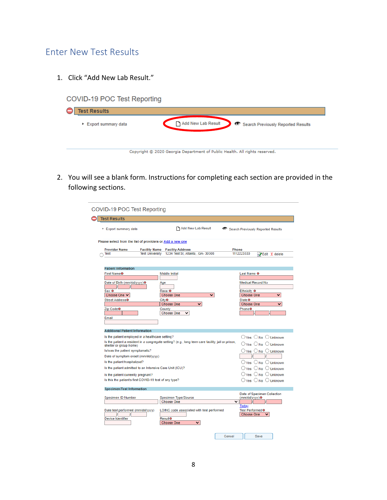# <span id="page-7-0"></span>Enter New Test Results

1. Click "Add New Lab Result."

| COVID-19 POC Test Reporting                                                       |
|-----------------------------------------------------------------------------------|
| <b>Test Results</b>                                                               |
| Add New Lab Result<br>Search Previously Reported Results<br>▶ Export summary data |
| Copyright @ 2020 Georgia Department of Public Health. All rights reserved.        |

2. You will see a blank form. Instructions for completing each section are provided in the following sections.

| COVID-19 POC Test Reporting                                                               |                                                                                                    |                                                  |                                                 |
|-------------------------------------------------------------------------------------------|----------------------------------------------------------------------------------------------------|--------------------------------------------------|-------------------------------------------------|
| <b>Test Results</b>                                                                       |                                                                                                    |                                                  |                                                 |
| Export summary data                                                                       | Add New Lab Result                                                                                 | Search Previously Reported Results               |                                                 |
| Please select from the list of providers or Add a new one                                 |                                                                                                    |                                                  |                                                 |
| <b>Provider Name</b><br><b>Test University</b><br>Test                                    | <b>Facility Name Facility Address</b><br>1234 Test St, Atlanta, , GA- 30308                        | Phone<br>1112223333                              | $\equiv$ <b>Z</b> Edit X delete                 |
| <b>Patient Information</b>                                                                |                                                                                                    |                                                  |                                                 |
|                                                                                           |                                                                                                    |                                                  |                                                 |
| First Name <sup>O</sup>                                                                   | Middle Initial                                                                                     | Last Name O                                      |                                                 |
|                                                                                           |                                                                                                    |                                                  |                                                 |
| Date of Birth (mm/dd/yyyy)●                                                               | Age                                                                                                | <b>Medical Record No</b>                         |                                                 |
| Sex O                                                                                     | Race O                                                                                             | Ethnicity O                                      |                                                 |
| Choose One $\vee$                                                                         | <b>Choose One</b><br>⌄                                                                             | <b>Choose One</b>                                | $\checkmark$                                    |
| Street Address <sup>o</sup>                                                               | CityO                                                                                              | State <sup>O</sup>                               |                                                 |
|                                                                                           | <b>Choose One</b><br>v                                                                             | <b>Choose One</b>                                | v                                               |
| Zip Code O                                                                                | County                                                                                             | Phone <sup>O</sup>                               |                                                 |
|                                                                                           | <b>Choose One</b><br>$\checkmark$                                                                  |                                                  |                                                 |
| <b>Email</b>                                                                              |                                                                                                    |                                                  |                                                 |
| <b>Additional Patient Information</b><br>Is the patient employed in a healthcare setting? |                                                                                                    |                                                  | $\bigcirc$ Yes $\bigcirc$ No $\bigcirc$ Unknown |
| shelter or group home)                                                                    | Is the patient a resident in a congregate setting? (e.g., long term care facility, jail or prison, |                                                  | $\bigcirc$ Yes $\bigcirc$ No $\bigcirc$ Unknown |
| Is/was the patient symptomatic?                                                           |                                                                                                    |                                                  | $\bigcirc$ Yes $\bigcirc$ No $\bigcirc$ Unknown |
| Date of symptom onset (mm/dd/yyyy)                                                        |                                                                                                    |                                                  |                                                 |
| Is the patient hospitalized?                                                              |                                                                                                    |                                                  | $\bigcirc$ Yes $\bigcirc$ No $\bigcirc$ Unknown |
| Is the patient admitted to an Intensive Care Unit (ICU)?                                  |                                                                                                    |                                                  | $\bigcirc$ Yes $\bigcirc$ No $\bigcirc$ Unknown |
| Is the patient currently pregnant?                                                        |                                                                                                    |                                                  | ○Yes ○No ○Unknown                               |
| Is this the patient's first COVID-19 test of any type?                                    |                                                                                                    |                                                  | $\log$ $\bigcirc$ No $\bigcirc$ Unknown         |
| <b>Specimen/Test Information</b>                                                          |                                                                                                    |                                                  |                                                 |
|                                                                                           |                                                                                                    |                                                  | Date of Specimen Collection                     |
| Specimen ID Number                                                                        | Specimen Type/Source                                                                               | (mm/dd/yyyy) <sup>o</sup>                        |                                                 |
|                                                                                           | <b>Choose One</b>                                                                                  | ◡<br><b>Today</b>                                |                                                 |
| Date test performed (mm/dd/yyyy)                                                          | LOINC code associated with test performed                                                          | Test Performed <sup>®</sup><br><b>Choose One</b> |                                                 |
| Device Identifier                                                                         | Result <sup>o</sup><br><b>Choose One</b><br>v                                                      |                                                  |                                                 |
|                                                                                           |                                                                                                    |                                                  |                                                 |
|                                                                                           |                                                                                                    | Cancel                                           | Save                                            |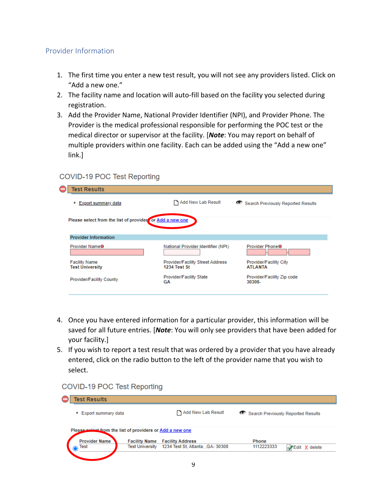#### <span id="page-8-0"></span>Provider Information

- 1. The first time you enter a new test result, you will not see any providers listed. Click on "Add a new one."
- 2. The facility name and location will auto-fill based on the facility you selected during registration.
- 3. Add the Provider Name, National Provider Identifier (NPI), and Provider Phone. The Provider is the medical professional responsible for performing the POC test or the medical director or supervisor at the facility. [*Note*: You may report on behalf of multiple providers within one facility. Each can be added using the "Add a new one" link.]

#### COVID-19 POC Test Reporting

| <b>Test Results</b>                                      |                                                                |                                          |
|----------------------------------------------------------|----------------------------------------------------------------|------------------------------------------|
| ▶ Export summary data                                    | Add New Lab Result                                             | Search Previously Reported Results       |
| Please select from the list of provider or Add a new one |                                                                |                                          |
| <b>Provider Information</b>                              |                                                                |                                          |
| Provider Name <sup>O</sup>                               | National Provider Identifier (NPI)                             | Provider Phone <sup>®</sup>              |
| <b>Facility Name</b><br><b>Test University</b>           | <b>Provider/Facility Street Address</b><br><b>1234 Test St</b> | Provider/Facility City<br><b>ATLANTA</b> |
| <b>Provider/Facility County</b>                          | <b>Provider/Facility State</b><br>GA                           | Provider/Facility Zip code<br>30308-     |
|                                                          |                                                                |                                          |

- 4. Once you have entered information for a particular provider, this information will be saved for all future entries. [*Note*: You will only see providers that have been added for your facility.]
- 5. If you wish to report a test result that was ordered by a provider that you have already entered, click on the radio button to the left of the provider name that you wish to select.

#### COVID-19 POC Test Reporting

| ▶ Export summary data                                     |                      | Add New Lab Result      | Search Previously Reported Results |  |
|-----------------------------------------------------------|----------------------|-------------------------|------------------------------------|--|
| Please select from the list of providers or Add a new one |                      |                         |                                    |  |
|                                                           |                      |                         |                                    |  |
| <b>Provider Name</b>                                      | <b>Facility Name</b> | <b>Facility Address</b> | Phone                              |  |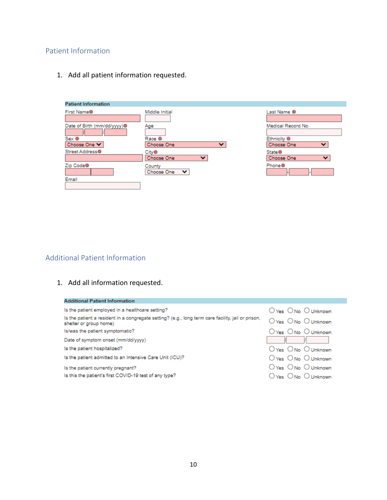## <span id="page-9-0"></span>Patient Information

1. Add all patient information requested.

| <b>Patient Information</b>                                                 |                                             |                                                                |
|----------------------------------------------------------------------------|---------------------------------------------|----------------------------------------------------------------|
| First Name <sup>®</sup>                                                    | Middle Initial                              | Last Name <sup>O</sup>                                         |
| Date of Birth (mm/dd/yyyy) <sup>®</sup><br>$Sex$ $\bullet$<br>Choose One V | Age<br>Race O<br>$\checkmark$<br>Choose One | Medical Record No<br>Ethnicity O<br>Choose One<br>$\checkmark$ |
| Street Address <sup>®</sup>                                                | CityO<br>Choose One<br>$\checkmark$         | State <sup>®</sup><br>Choose One<br>$\checkmark$               |
| Zip Code <sup>®</sup>                                                      | County<br>Choose One V                      | Phone <sup>®</sup>                                             |
| Email                                                                      |                                             |                                                                |

### <span id="page-9-1"></span>Additional Patient Information

1. Add all information requested.

| <b>Additional Patient Information</b>                                                                                        |                            |
|------------------------------------------------------------------------------------------------------------------------------|----------------------------|
| Is the patient employed in a healthcare setting?                                                                             | $OYes$ $ONo$ $O$ Unknown   |
| Is the patient a resident in a congregate setting? (e.g., long term care facility, jail or prison,<br>shelter or group home) | $OYes$ $ONo$ $O$ Unknown   |
| Is/was the patient symptomatic?                                                                                              | $OYes$ $ONo$ $O$ Unknown   |
| Date of symptom onset (mm/dd/yyyy)                                                                                           |                            |
| Is the patient hospitalized?                                                                                                 | $O$ Yes $O$ No $O$ Unknown |
| Is the patient admitted to an Intensive Care Unit (ICU)?                                                                     | $OYes$ $ONo$ $O$ Unknown   |
| Is the patient currently pregnant?                                                                                           | $O$ Yes $O$ No $O$ Unknown |
| Is this the patient's first COVID-19 test of any type?                                                                       | $OYes$ $ONo$ $O$ Unknown   |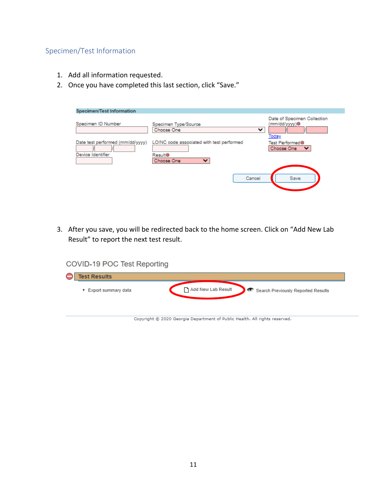# <span id="page-10-0"></span>Specimen/Test Information

- 1. Add all information requested.
- 2. Once you have completed this last section, click "Save."

| <b>Specimen/Test Information</b>                      |                                                                                    |                                                       |
|-------------------------------------------------------|------------------------------------------------------------------------------------|-------------------------------------------------------|
| Specimen ID Number                                    | Specimen Type/Source<br>Choose One<br>$\checkmark$                                 | Date of Specimen Collection<br>(mm/dd/yyyy)●<br>Today |
| Date test performed (mm/dd/yyyy)<br>Device Identifier | LOINC code associated with test performed<br>Result®<br>$\checkmark$<br>Choose One | Test Performed <sup>®</sup><br>Choose One V           |
|                                                       | Cancel                                                                             | Save                                                  |

3. After you save, you will be redirected back to the home screen. Click on "Add New Lab Result" to report the next test result.



| <b>Test Results</b>   |                                                                            |
|-----------------------|----------------------------------------------------------------------------|
| ▶ Export summary data | Add New Lab Result<br>Search Previously Reported Results                   |
|                       |                                                                            |
|                       | Copyright @ 2020 Georgia Department of Public Health. All rights reserved. |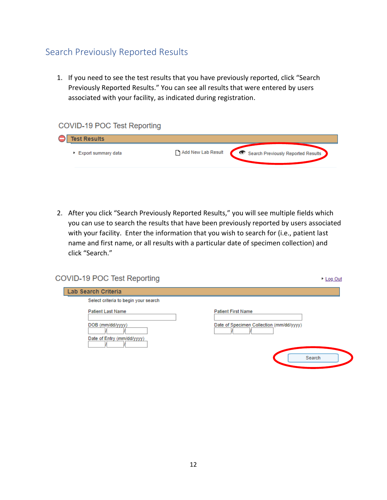# <span id="page-11-0"></span>Search Previously Reported Results

1. If you need to see the test results that you have previously reported, click "Search Previously Reported Results." You can see all results that were entered by users associated with your facility, as indicated during registration.

#### COVID-19 POC Test Reporting

| <b>Test Results</b>   |                                                          |
|-----------------------|----------------------------------------------------------|
| ▶ Export summary data | Add New Lab Result<br>Search Previously Reported Results |

2. After you click "Search Previously Reported Results," you will see multiple fields which you can use to search the results that have been previously reported by users associated with your facility. Enter the information that you wish to search for (i.e., patient last name and first name, or all results with a particular date of specimen collection) and click "Search."

| COVID-19 POC Test Reporting          | ▶ Log Out                                |
|--------------------------------------|------------------------------------------|
| Lab Search Criteria                  |                                          |
| Select criteria to begin your search |                                          |
| <b>Patient Last Name</b>             | <b>Patient First Name</b>                |
| DOB (mm/dd/yyyy)                     | Date of Specimen Collection (mm/dd/yyyy) |
| Date of Entry (mm/dd/yyyy)           |                                          |
|                                      | Search                                   |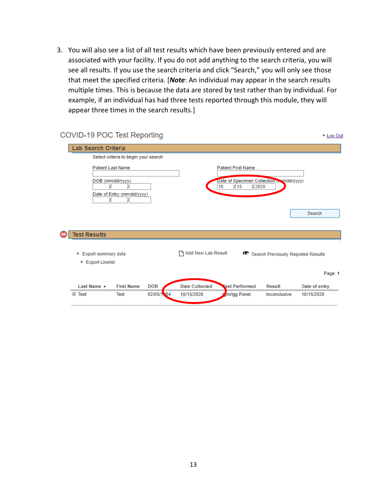3. You will also see a list of all test results which have been previously entered and are associated with your facility. If you do not add anything to the search criteria, you will see all results. If you use the search criteria and click "Search," you will only see those that meet the specified criteria. [*Note*: An individual may appear in the search results multiple times. This is because the data are stored by test rather than by individual. For example, if an individual has had three tests reported through this module, they will appear three times in the search results.]

 $2.1228$ 

|                                            | Select criteria to begin your search                                       |            |                       |                                                                                                         |                                    |               |
|--------------------------------------------|----------------------------------------------------------------------------|------------|-----------------------|---------------------------------------------------------------------------------------------------------|------------------------------------|---------------|
|                                            | <b>Patient Last Name</b><br>DOB (mm/dd/yyyy)<br>Date of Entry (mm/dd/yyyy) |            |                       | <b>Patient First Name</b><br>Date of Specimen Collection (man/dd/yyyy)<br>V <sub>15</sub><br>2020<br>10 |                                    | Search        |
|                                            |                                                                            |            |                       |                                                                                                         |                                    |               |
| <b>Test Results</b>                        |                                                                            |            |                       |                                                                                                         |                                    |               |
| ▶ Export summary data<br>▶ Export Linelist |                                                                            |            | Add New Lab Result    |                                                                                                         | Search Previously Reported Results |               |
|                                            |                                                                            |            |                       |                                                                                                         |                                    | Page: 1       |
| Last Name 4                                | <b>First Name</b>                                                          | <b>DOB</b> | <b>Date Collected</b> | <b>Sest Performed</b>                                                                                   | Result                             | Date of entry |

#### COVID 19 POC Test Penorting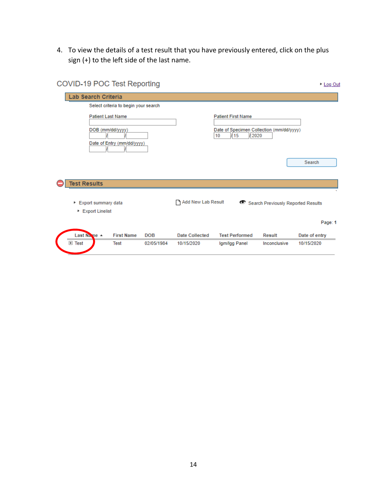4. To view the details of a test result that you have previously entered, click on the plus sign (+) to the left side of the last name.

| COVID-19 POC Test Reporting                |                                      |            |                       |                                                                           |                                    | ▶ Log Out     |
|--------------------------------------------|--------------------------------------|------------|-----------------------|---------------------------------------------------------------------------|------------------------------------|---------------|
| Lab Search Criteria                        |                                      |            |                       |                                                                           |                                    |               |
|                                            | Select criteria to begin your search |            |                       |                                                                           |                                    |               |
| <b>Patient Last Name</b>                   |                                      |            |                       | <b>Patient First Name</b>                                                 |                                    |               |
| DOB (mm/dd/yyyy)                           |                                      |            |                       | Date of Specimen Collection (mm/dd/yyyy)<br>V <sub>15</sub><br>2020<br>10 |                                    |               |
|                                            | Date of Entry (mm/dd/yyyy)           |            |                       |                                                                           |                                    |               |
|                                            |                                      |            |                       |                                                                           |                                    | Search        |
|                                            |                                      |            |                       |                                                                           |                                    |               |
| <b>Test Results</b>                        |                                      |            |                       |                                                                           |                                    |               |
| ▶ Export summary data<br>▶ Export Linelist |                                      |            | Add New Lab Result    |                                                                           | Search Previously Reported Results |               |
|                                            |                                      |            |                       |                                                                           |                                    | Page: 1       |
| Last Name 4                                | <b>First Name</b>                    | <b>DOB</b> | <b>Date Collected</b> | <b>Test Performed</b>                                                     | Result                             | Date of entry |
| <b>H</b> Test                              | Test                                 | 02/05/1984 | 10/15/2020            | Igm/Igg Panel                                                             | Inconclusive                       | 10/15/2020    |
|                                            |                                      |            |                       |                                                                           |                                    |               |

14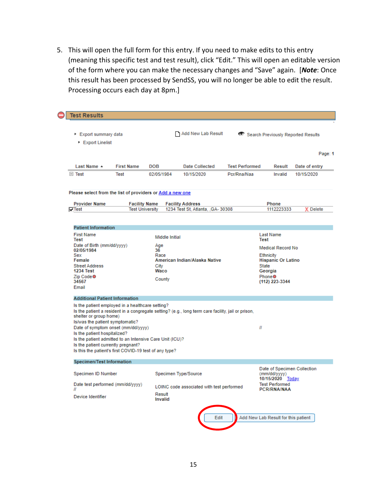5. This will open the full form for this entry. If you need to make edits to this entry (meaning this specific test and test result), click "Edit." This will open an editable version of the form where you can make the necessary changes and "Save" again. [*Note*: Once this result has been processed by SendSS, you will no longer be able to edit the result. Processing occurs each day at 8pm.]

| ▶ Export summary data<br>▶ Export Linelist                                                   |                        |              | Add New Lab Result                                                                                 |                       | Search Previously Reported Results                              |                 |
|----------------------------------------------------------------------------------------------|------------------------|--------------|----------------------------------------------------------------------------------------------------|-----------------------|-----------------------------------------------------------------|-----------------|
|                                                                                              |                        |              |                                                                                                    |                       |                                                                 | Page: 1         |
| Last Name ▲                                                                                  | <b>First Name</b>      | <b>DOB</b>   | Date Collected                                                                                     | <b>Test Performed</b> | Result                                                          | Date of entry   |
| $\Box$ Test                                                                                  | Test                   | 02/05/1984   | 10/15/2020                                                                                         | Pcr/Rna/Naa           | Invalid                                                         | 10/15/2020      |
| Please select from the list of providers or Add a new one                                    |                        |              |                                                                                                    |                       |                                                                 |                 |
| <b>Provider Name</b>                                                                         | <b>Facility Name</b>   |              | <b>Facility Address</b>                                                                            |                       | <b>Phone</b>                                                    |                 |
| $\nabla$ Test                                                                                | <b>Test University</b> |              | 1234 Test St, Atlanta, , GA- 30308                                                                 |                       | 1112223333                                                      | <b>X</b> Delete |
| <b>Patient Information</b>                                                                   |                        |              |                                                                                                    |                       |                                                                 |                 |
| <b>First Name</b><br><b>Test</b>                                                             |                        |              | <b>Middle Initial</b>                                                                              |                       | <b>Last Name</b><br><b>Test</b>                                 |                 |
| Date of Birth (mm/dd/yyyy)<br>02/05/1984                                                     |                        | Age<br>36    |                                                                                                    |                       | Medical Record No                                               |                 |
| Sex                                                                                          |                        | Race         |                                                                                                    |                       | <b>Ethnicity</b>                                                |                 |
| Female                                                                                       |                        |              | American Indian/Alaska Native                                                                      |                       | <b>Hispanic Or Latino</b>                                       |                 |
| <b>Street Address</b><br><b>1234 Test</b>                                                    |                        | City<br>Waco |                                                                                                    |                       | <b>State</b><br>Georgia                                         |                 |
| Zip Code <sup>O</sup>                                                                        |                        |              |                                                                                                    |                       | <b>PhoneO</b>                                                   |                 |
| 34567                                                                                        |                        |              | County                                                                                             |                       | (112) 223-3344                                                  |                 |
| Email                                                                                        |                        |              |                                                                                                    |                       |                                                                 |                 |
| <b>Additional Patient Information</b>                                                        |                        |              |                                                                                                    |                       |                                                                 |                 |
| Is the patient employed in a healthcare setting?                                             |                        |              |                                                                                                    |                       |                                                                 |                 |
| shelter or group home)                                                                       |                        |              | Is the patient a resident in a congregate setting? (e.g., long term care facility, jail or prison, |                       |                                                                 |                 |
| Is/was the patient symptomatic?                                                              |                        |              |                                                                                                    |                       |                                                                 |                 |
| Date of symptom onset (mm/dd/yyyy)                                                           |                        |              |                                                                                                    | Ш                     |                                                                 |                 |
| Is the patient hospitalized?                                                                 |                        |              |                                                                                                    |                       |                                                                 |                 |
| Is the patient admitted to an Intensive Care Unit (ICU)?                                     |                        |              |                                                                                                    |                       |                                                                 |                 |
| Is the patient currently pregnant?<br>Is this the patient's first COVID-19 test of any type? |                        |              |                                                                                                    |                       |                                                                 |                 |
| <b>Specimen/Test Information</b>                                                             |                        |              |                                                                                                    |                       |                                                                 |                 |
| Specimen ID Number                                                                           |                        |              | Specimen Type/Source                                                                               |                       | Date of Specimen Collection<br>(mm/dd/yyyy)<br>10/15/2020 Today |                 |
| Date test performed (mm/dd/yyyy)                                                             |                        |              | LOINC code associated with test performed                                                          |                       | <b>Test Performed</b><br>PCR/RNA/NAA                            |                 |
| Device Identifier                                                                            |                        | Result       | <b>Invalid</b>                                                                                     |                       |                                                                 |                 |
|                                                                                              |                        |              |                                                                                                    |                       |                                                                 |                 |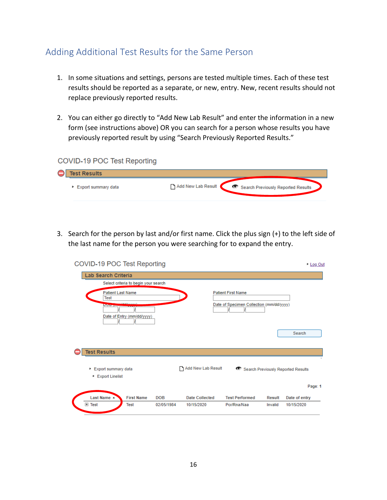# <span id="page-15-0"></span>Adding Additional Test Results for the Same Person

- 1. In some situations and settings, persons are tested multiple times. Each of these test results should be reported as a separate, or new, entry. New, recent results should not replace previously reported results.
- 2. You can either go directly to "Add New Lab Result" and enter the information in a new form (see instructions above) OR you can search for a person whose results you have previously reported result by using "Search Previously Reported Results."

#### COVID-19 POC Test Reporting

| <b>Test Results</b>   |                                                          |
|-----------------------|----------------------------------------------------------|
| ▶ Export summary data | Add New Lab Result<br>Search Previously Reported Results |
|                       |                                                          |

3. Search for the person by last and/or first name. Click the plus sign (+) to the left side of the last name for the person you were searching for to expand the entry.

| <b>Patient Last Name</b>                   |                            |            |                       | <b>Patient First Name</b>                |               |                                    |
|--------------------------------------------|----------------------------|------------|-----------------------|------------------------------------------|---------------|------------------------------------|
| <b>Test</b>                                |                            |            |                       |                                          |               |                                    |
| <b>Distances</b>                           |                            |            |                       | Date of Specimen Collection (mm/dd/yyyy) |               |                                    |
|                                            | Date of Entry (mm/dd/yyyy) |            |                       |                                          |               |                                    |
|                                            |                            |            |                       |                                          |               |                                    |
|                                            |                            |            |                       |                                          |               | Search                             |
|                                            |                            |            |                       |                                          |               |                                    |
| <b>Test Results</b>                        |                            |            |                       |                                          |               |                                    |
|                                            |                            |            |                       |                                          |               |                                    |
| ▶ Export summary data<br>▶ Export Linelist |                            |            | Add New Lab Result    |                                          |               | Search Previously Reported Results |
|                                            |                            |            |                       |                                          |               | Page: 1                            |
| Last Name 4                                | <b>First Name</b>          | <b>DOB</b> | <b>Date Collected</b> | <b>Test Performed</b>                    | <b>Result</b> | Date of entry                      |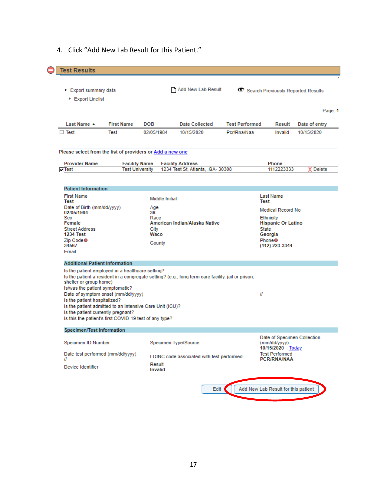4. Click "Add New Lab Result for this Patient."

| Last Name ▲<br>$\Box$ Test<br>Please select from the list of providers or Add a new one<br><b>Provider Name</b><br>$\nabla$ Test<br><b>Patient Information</b><br><b>First Name</b><br>Test<br>Date of Birth (mm/dd/yyyy)<br>02/05/1984<br>Sex<br>Female<br><b>Street Address</b><br><b>1234 Test</b><br>Zip Code <sup>O</sup><br>34567                                                                                                               | <b>First Name</b><br>Test<br><b>Facility Name</b><br><b>Test University</b> | <b>DOB</b><br>02/05/1984<br><b>Middle Initial</b><br>Age<br>36<br>Race<br>City | <b>Date Collected</b><br>10/15/2020<br><b>Facility Address</b><br>1234 Test St. Atlanta, .GA- 30308<br>American Indian/Alaska Native | <b>Test Performed</b><br>Pcr/Rna/Naa | <b>Result</b><br>Invalid<br><b>Phone</b><br>1112223333<br>Last Name<br>Test<br><b>Medical Record No</b><br><b>Ethnicity</b><br><b>Hispanic Or Latino</b> | Page: 1<br>Date of entry<br>10/15/2020<br><b>X</b> Delete |
|-------------------------------------------------------------------------------------------------------------------------------------------------------------------------------------------------------------------------------------------------------------------------------------------------------------------------------------------------------------------------------------------------------------------------------------------------------|-----------------------------------------------------------------------------|--------------------------------------------------------------------------------|--------------------------------------------------------------------------------------------------------------------------------------|--------------------------------------|----------------------------------------------------------------------------------------------------------------------------------------------------------|-----------------------------------------------------------|
|                                                                                                                                                                                                                                                                                                                                                                                                                                                       |                                                                             |                                                                                |                                                                                                                                      |                                      |                                                                                                                                                          |                                                           |
|                                                                                                                                                                                                                                                                                                                                                                                                                                                       |                                                                             |                                                                                |                                                                                                                                      |                                      |                                                                                                                                                          |                                                           |
|                                                                                                                                                                                                                                                                                                                                                                                                                                                       |                                                                             |                                                                                |                                                                                                                                      |                                      |                                                                                                                                                          |                                                           |
|                                                                                                                                                                                                                                                                                                                                                                                                                                                       |                                                                             |                                                                                |                                                                                                                                      |                                      |                                                                                                                                                          |                                                           |
|                                                                                                                                                                                                                                                                                                                                                                                                                                                       |                                                                             |                                                                                |                                                                                                                                      |                                      |                                                                                                                                                          |                                                           |
|                                                                                                                                                                                                                                                                                                                                                                                                                                                       |                                                                             |                                                                                |                                                                                                                                      |                                      |                                                                                                                                                          |                                                           |
| Email                                                                                                                                                                                                                                                                                                                                                                                                                                                 |                                                                             | Waco<br>County                                                                 |                                                                                                                                      |                                      | State<br>Georgia<br>Phone <sup>O</sup><br>(112) 223-3344                                                                                                 |                                                           |
| <b>Additional Patient Information</b>                                                                                                                                                                                                                                                                                                                                                                                                                 |                                                                             |                                                                                |                                                                                                                                      |                                      |                                                                                                                                                          |                                                           |
| Is the patient employed in a healthcare setting?<br>Is the patient a resident in a congregate setting? (e.g., long term care facility, jail or prison,<br>shelter or group home)<br>Is/was the patient symptomatic?<br>Date of symptom onset (mm/dd/yyyy)<br>Is the patient hospitalized?<br>Is the patient admitted to an Intensive Care Unit (ICU)?<br>Is the patient currently pregnant?<br>Is this the patient's first COVID-19 test of any type? |                                                                             |                                                                                |                                                                                                                                      | Ш                                    |                                                                                                                                                          |                                                           |
| Specimen/Test Information                                                                                                                                                                                                                                                                                                                                                                                                                             |                                                                             |                                                                                |                                                                                                                                      |                                      |                                                                                                                                                          |                                                           |
| Specimen ID Number                                                                                                                                                                                                                                                                                                                                                                                                                                    |                                                                             |                                                                                | Specimen Type/Source                                                                                                                 |                                      | Date of Specimen Collection<br>(mm/dd/yyyy)<br>10/15/2020 Today                                                                                          |                                                           |
| Date test performed (mm/dd/yyyy)<br>Ш                                                                                                                                                                                                                                                                                                                                                                                                                 |                                                                             |                                                                                | LOINC code associated with test performed                                                                                            |                                      | <b>Test Performed</b><br>PCR/RNA/NAA                                                                                                                     |                                                           |
| Device Identifier                                                                                                                                                                                                                                                                                                                                                                                                                                     |                                                                             | Result<br>Invalid                                                              |                                                                                                                                      |                                      |                                                                                                                                                          |                                                           |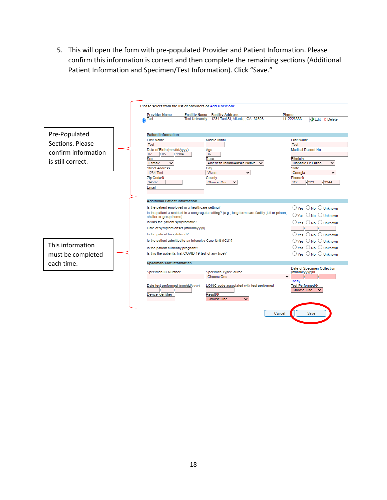5. This will open the form with pre-populated Provider and Patient Information. Please confirm this information is correct and then complete the remaining sections (Additional Patient Information and Specimen/Test Information). Click "Save."

|                     |                                                        | Please select from the list of providers or Add a new one                                             |                                                            |
|---------------------|--------------------------------------------------------|-------------------------------------------------------------------------------------------------------|------------------------------------------------------------|
|                     | <b>Provider Name</b><br>Test                           | <b>Facility Name Facility Address</b><br>1234 Test St. Atlanta. . GA- 30308<br><b>Test University</b> | Phone<br>1112223333<br>$\blacktriangleright$ Edit X Delete |
|                     | ⋒                                                      |                                                                                                       |                                                            |
| Pre-Populated       | <b>Patient Information</b>                             |                                                                                                       |                                                            |
|                     | <b>First Name</b>                                      | <b>Middle Initial</b>                                                                                 | <b>Last Name</b>                                           |
| Sections. Please    | <b>Test</b>                                            |                                                                                                       | <b>Test</b>                                                |
| confirm information | Date of Birth (mm/dd/yyyy)<br>105<br>02<br>11984       | Age<br>36                                                                                             | <b>Medical Record No</b>                                   |
| is still correct.   | Sex<br>Female<br>◡                                     | Race<br>American Indian/Alaska Native $\vee$                                                          | Ethnicity<br><b>Hispanic Or Latino</b><br>$\checkmark$     |
|                     | <b>Street Address</b>                                  | City                                                                                                  | State                                                      |
|                     | <b>1234 Test</b>                                       | Waco<br>$\checkmark$                                                                                  | Georgia<br>丷                                               |
|                     | Zip Code <sup>O</sup><br>34567                         | County<br>Choose One                                                                                  | Phone <sup>O</sup><br>$-223$<br>$-3344$<br>112             |
|                     | Email                                                  |                                                                                                       |                                                            |
|                     |                                                        |                                                                                                       |                                                            |
|                     | <b>Additional Patient Information</b>                  |                                                                                                       |                                                            |
|                     | Is the patient employed in a healthcare setting?       |                                                                                                       | $\bigcirc$ Yes $\bigcirc$ No $\bigcirc$ Unknown            |
|                     | shelter or group home)                                 | Is the patient a resident in a congregate setting? (e.g., long term care facility, jail or prison,    | $\bigcirc$ Yes $\bigcirc$ No $\bigcirc$ Unknown            |
|                     | Is/was the patient symptomatic?                        |                                                                                                       | $\bigcirc$ Yes $\bigcirc$ No $\bigcirc$ Unknown            |
|                     | Date of symptom onset (mm/dd/yyyy)                     |                                                                                                       |                                                            |
|                     | Is the patient hospitalized?                           |                                                                                                       | O Yes O No O Unknown                                       |
| This information    |                                                        | Is the patient admitted to an Intensive Care Unit (ICU)?                                              | O Yes O No O Unknown                                       |
|                     | Is the patient currently pregnant?                     |                                                                                                       | ○Yes ○No ○Unknown                                          |
| must be completed   | Is this the patient's first COVID-19 test of any type? |                                                                                                       | ○Yes ○No ○Unknown                                          |
| each time.          | <b>Specimen/Test Information</b>                       |                                                                                                       |                                                            |
|                     | Specimen ID Number                                     | Specimen Type/Source                                                                                  | Date of Specimen Collection<br>(mm/dd/yyyy) <sup>o</sup>   |
|                     |                                                        | Choose One                                                                                            | $\checkmark$                                               |
|                     | Date test performed (mm/dd/yyyy)<br>Device Identifier  | LOINC code associated with test performed<br>Result <sup>o</sup>                                      | Today<br>Test Performed <sup>o</sup><br>Choose One         |
|                     |                                                        | <b>Choose One</b><br>⌄                                                                                |                                                            |

Cancel

Save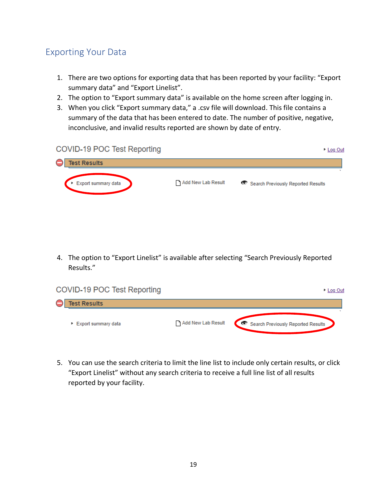# <span id="page-18-0"></span>Exporting Your Data

- 1. There are two options for exporting data that has been reported by your facility: "Export summary data" and "Export Linelist".
- 2. The option to "Export summary data" is available on the home screen after logging in.
- 3. When you click "Export summary data," a .csv file will download. This file contains a summary of the data that has been entered to date. The number of positive, negative, inconclusive, and invalid results reported are shown by date of entry.

| COVID-19 POC Test Reporting |                    |                                    | ▶ Log Out |
|-----------------------------|--------------------|------------------------------------|-----------|
| <b>Test Results</b>         |                    |                                    |           |
| Export summary data         | Add New Lab Result | Search Previously Reported Results |           |

4. The option to "Export Linelist" is available after selecting "Search Previously Reported Results."



5. You can use the search criteria to limit the line list to include only certain results, or click "Export Linelist" without any search criteria to receive a full line list of all results reported by your facility.